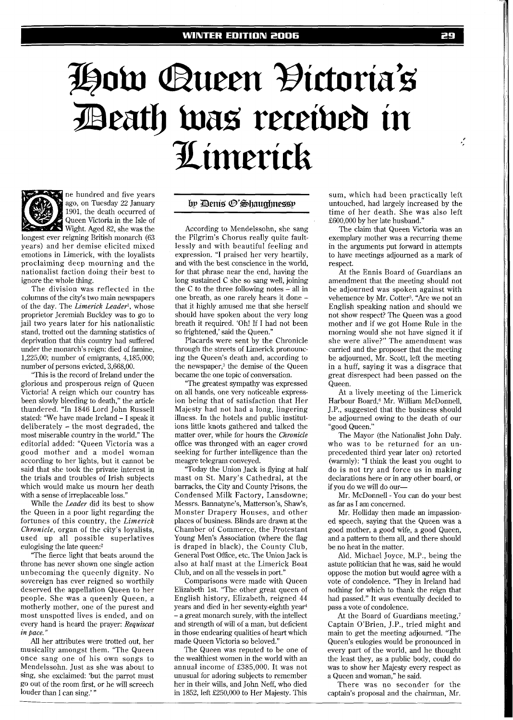## How Queen Đictoria's<br>Death was received in Limerick



ne hundred and five years ago, on Tuesday 22 January 1901, the death occurred of Queen Victoria in the Isle of Wight. Aged 82, she was the

longest ever reigning British monarch (63 years) and her demise elicited mixed emotions in Limerick, with the loyalists proclaiming deep mourning and the nationalist faction doing their best to ignore the whole thing.

The division was reflected in the columns of the city's two main newspapers of the day. The *Limerick Leader',* whose proprietor Jeremiah Buckley was to go to jail two years later for his nationalistic stand, trotted out the damning statistics of deprivation that this country had suffered under the monarch's reign: died of famine, 1,225,00; number of emigrants, 4,185,000; number of persons evicted, 3,668,00.

"This is the record of Ireland under the glorious and prosperous reign of Queen Victoria! A reign which our country has been slowly bleeding to death," the article thundered. "In 1846 Lord John Russell stated: 'We have made Ireland - I speak it deliberately - the most degraded, the most miserable country in the world." The editorial added: "Queen Victoria was a good mother and a model woman according to her lights, but it cannot be said that she took the private interest in the trials and troubles of Irish subjects which would make us mourn her death with a sense of irreplaceable loss."

While the *Leader* did its best to show the Queen in a poor light regarding the fortunes of this country, the *Limerick Chronicle,* organ of the city's loyalists, used up all possible superlatives eulogising the late queen?

"The fierce light that beats around the throne has never shown one single action unbecoming the queenly dignity. No sovereign has ever reigned so worthily deserved the appellation Queen to her people. She was a queenly Queen, a motherly mother, one of the purest and most unspotted lives is ended, and on every hand is heard the prayer: *Requiscat in pace.* "

All her attributes were trotted out, her musicality amongst them. "The Queen once sang one of his own songs to Mendelssohn. Just as she was about to sing, she exclaimed: 'but the parrot must go out of the room first, or he will screech louder than I can sing.'

## by Denis ®'Shaughnessy

According to Mendelssohn, she sang the Pilgrim's Chorus really quite faultlessly and with beautiful feeling and expression. "I praised her very heartily, and with the best conscience in the world, for that phrase near the end, having the long sustained C she so sang well, joining the C to the three following notes - all in one breath, as one rarely hears it done that it highly amused me that she herself should have spoken about the very long breath it required. 'Oh! If I had not been so frightened,' said the Queen."

Placards were sent by the Chronicle through the streets of Limerick pronouncing the Queen's death and, according to the newspaper,<sup>3</sup> the demise of the Queen became the one topic of conversation.

"The greatest sympathy was expressed on all hands, one very noticeable expression being that of satisfaction that Her Majesty had not had a long, lingering illness. In the hotels and public institutions little knots gathered and talked the matter over, while for hours the *Chronicle*  office was thronged with an eager crowd seeking for further intelligence than the meagre telegram conveyed.

"Today the Union Jack is flying at half mast on St. Mary's Cathedral, at the barracks, the City and County Prisons, the Condensed Milk Factory, Lansdowne; Messrs. Bannatyne's, Matterson's, Shaw's, Monster Drapery Houses, and other places of business. Blinds are drawn at the Chamber of Commerce, the Protestant Young Men's Association (where the flag is draped in black), the County Club, General Post Oftice, etc. The Union Jack is also at half mast at the Limerick Boat Club, and on all the vessels in port."

Comparisons were made with Queen Elizabeth 1st. "The other great queen of English history, Elizabeth, reigned 44 years and died in her seventy-eighth year4 - a great monarch surely, with the intellect and strength of will of a man, but deficient in those endearing qualities of heart which made Queen Victoria so beloved."

The Queen was reputed to be one of the wealthiest women in the world with an annual income of £385,000. It was not unusual for adoring subjects to remember her in their wills, and John Neff, who died in 1852, left £250,000 to Her Majesty. This sum, which had been practically left untouched, had largely increased by the time of her death. She was also left £600,000 by her late husband."

The claim that Queen Victoria was an exemplary mother was a recurring theme in the arguments put forward in attempts to have meetings adjourned as a mark of respect.

At the Ennis Board of Guardians an amendment that the meeting should not be adjourned was spoken against with vehemence by Mr. Cotter<sup>5</sup>. "Are we not an English speaking nation and should we not show respect? The Queen was a good mother and if we got Home Rule in the morning would she not have signed it if she were alive?" The amendment was carried and the proposer that the meeting be adjourned, Mr. Scott, left the meeting in a huff, saying it was a disgrace that great disrespect had been passed on the Queen.

At a lively meeting of the Limerick Harbour Board,<sup>6</sup> Mr. William McDonnell, J.P., suggested that the business should be adjourned owing to the death of our "good Queen."

The Mayor (the Nationalist John Daly. who was to be returned for an unprecedented third year later on) retorted (warmly): "I think the least you ought to do is not try and force us in making declarations here or in any other board, or if you do we will do our-

Mr. McDonnell - You can do your best as far as I am concerned.

Mr. Holliday then made an impassioned speech, saying that the Queen was a good mother, a good wife, a good Queen, and a pattern to them all, and there should be no heat in the matter.

Ald. Michael Joyce, M.P., being the astute politician that he was, said he would oppose the motion but would agree with a vote of condolence. "They in Ireland had nothing for which to thank the reign that had passed." It was eventually decided to pass a vote of condolence.

At the Board of Guardians meeting,7 Captain O'Brien, J.P., tried might and main to get the meeting adjourned. "The Queen's eulogies would be pronounced in every part of the world, and he thought the least they, as a public body, could do was to show her Majesty every respect as a Queen and woman," he said.

There was no seconder for the captain's proposal and the chairman, Mr.

 $\cdot$